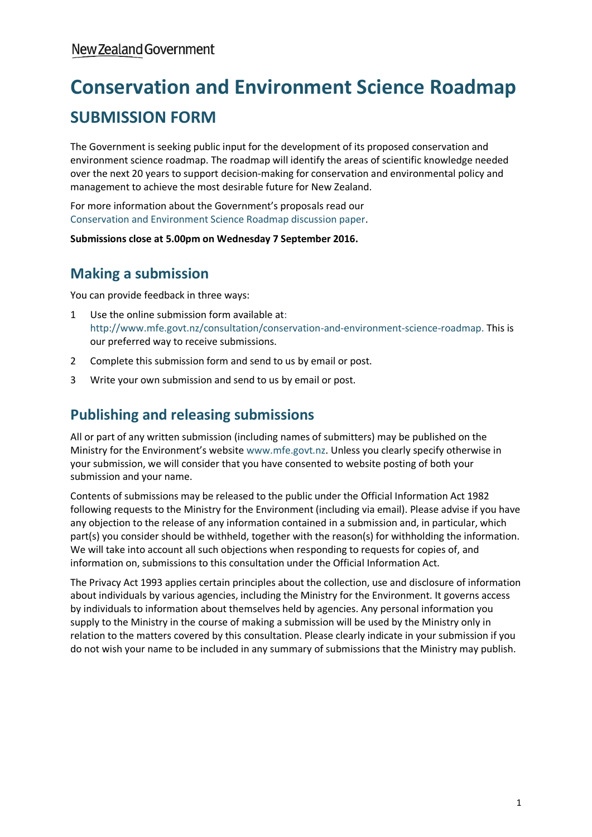# **Conservation and Environment Science Roadmap SUBMISSION FORM**

The Government is seeking public input for the development of its proposed conservation and environment science roadmap. The roadmap will identify the areas of scientific knowledge needed over the next 20 years to support decision-making for conservation and environmental policy and management to achieve the most desirable future for New Zealand.

For more information about the Government's proposals read our [Conservation and Environment Science Roadmap discussion paper.](http://www.mfe.govt.nz/publications/about-us/conservation-and-environment-science-roadmap-discussion-paper)

**Submissions close at 5.00pm on Wednesday 7 September 2016.**

## **Making a submission**

You can provide feedback in three ways:

- 1 Use the online submission form available at: [http://www.mfe.govt.nz/consultation/conservation-and-environment-science-roadmap.](http://www.mfe.govt.nz/consultation/conservation-and-environment-science-roadmap) This is our preferred way to receive submissions.
- 2 Complete thi[s submission form](http://www.mfe.govt.nz/publications/environmental-reporting/topics-environmental-reporting-consultation-document) and send to us by email or post.
- 3 Write your own submission and send to us by email or post.

## **Publishing and releasing submissions**

All or part of any written submission (including names of submitters) may be published on the Ministry for the Environment's website [www.mfe.govt.nz.](http://www.mfe.govt.nz/) Unless you clearly specify otherwise in your submission, we will consider that you have consented to website posting of both your submission and your name.

Contents of submissions may be released to the public under the Official Information Act 1982 following requests to the Ministry for the Environment (including via email). Please advise if you have any objection to the release of any information contained in a submission and, in particular, which part(s) you consider should be withheld, together with the reason(s) for withholding the information. We will take into account all such objections when responding to requests for copies of, and information on, submissions to this consultation under the Official Information Act.

The Privacy Act 1993 applies certain principles about the collection, use and disclosure of information about individuals by various agencies, including the Ministry for the Environment. It governs access by individuals to information about themselves held by agencies. Any personal information you supply to the Ministry in the course of making a submission will be used by the Ministry only in relation to the matters covered by this consultation. Please clearly indicate in your submission if you do not wish your name to be included in any summary of submissions that the Ministry may publish.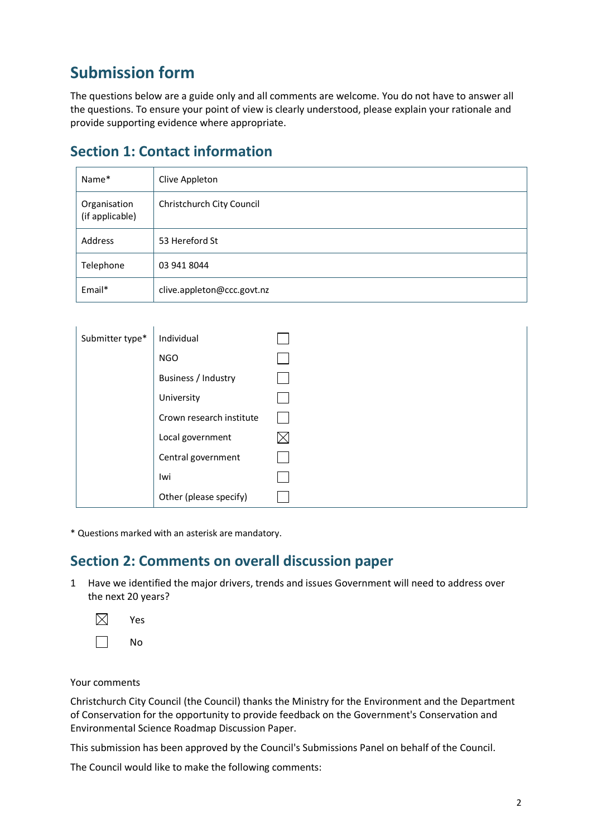## **Submission form**

The questions below are a guide only and all comments are welcome. You do not have to answer all the questions. To ensure your point of view is clearly understood, please explain your rationale and provide supporting evidence where appropriate.

| Name*                           | Clive Appleton             |
|---------------------------------|----------------------------|
| Organisation<br>(if applicable) | Christchurch City Council  |
| Address                         | 53 Hereford St             |
| Telephone                       | 03 941 8044                |
| Email*                          | clive.appleton@ccc.govt.nz |

## **Section 1: Contact information**

| Submitter type* | Individual               |  |
|-----------------|--------------------------|--|
|                 | <b>NGO</b>               |  |
|                 | Business / Industry      |  |
|                 | University               |  |
|                 | Crown research institute |  |
|                 | Local government         |  |
|                 | Central government       |  |
|                 | Iwi                      |  |
|                 | Other (please specify)   |  |

\* Questions marked with an asterisk are mandatory.

### **Section 2: Comments on overall discussion paper**

- 1 Have we identified the major drivers, trends and issues Government will need to address over the next 20 years?
	- $\boxtimes$ Yes

 $\Box$ No

Your comments

Christchurch City Council (the Council) thanks the Ministry for the Environment and the Department of Conservation for the opportunity to provide feedback on the Government's Conservation and Environmental Science Roadmap Discussion Paper.

This submission has been approved by the Council's Submissions Panel on behalf of the Council.

The Council would like to make the following comments: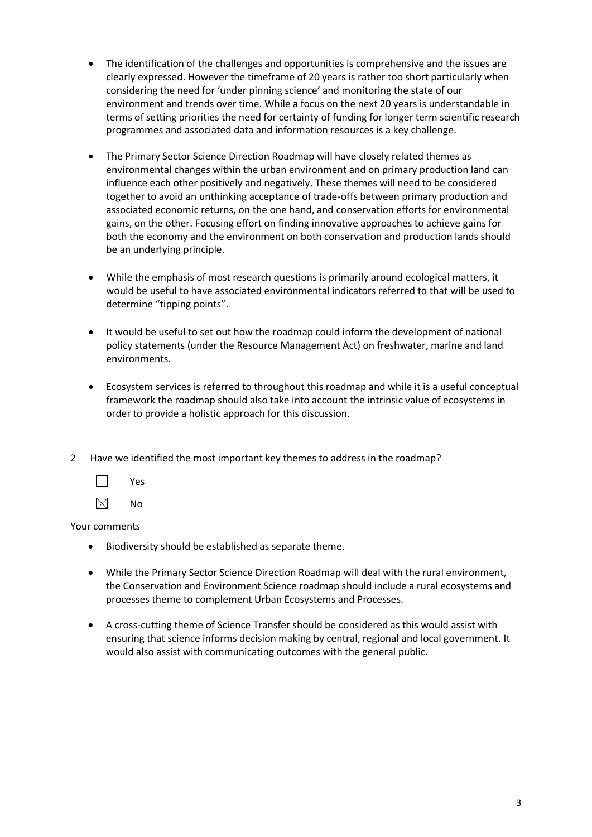- The identification of the challenges and opportunities is comprehensive and the issues are clearly expressed. However the timeframe of 20 years is rather too short particularly when considering the need for 'under pinning science' and monitoring the state of our environment and trends over time. While a focus on the next 20 years is understandable in terms of setting priorities the need for certainty of funding for longer term scientific research programmes and associated data and information resources is a key challenge.
- The Primary Sector Science Direction Roadmap will have closely related themes as environmental changes within the urban environment and on primary production land can influence each other positively and negatively. These themes will need to be considered together to avoid an unthinking acceptance of trade-offs between primary production and associated economic returns, on the one hand, and conservation efforts for environmental gains, on the other. Focusing effort on finding innovative approaches to achieve gains for both the economy and the environment on both conservation and production lands should be an underlying principle.
- While the emphasis of most research questions is primarily around ecological matters, it would be useful to have associated environmental indicators referred to that will be used to determine "tipping points".
- It would be useful to set out how the roadmap could inform the development of national policy statements (under the Resource Management Act) on freshwater, marine and land environments.
- Ecosystem services is referred to throughout this roadmap and while it is a useful conceptual framework the roadmap should also take into account the intrinsic value of ecosystems in order to provide a holistic approach for this discussion.
- 2 Have we identified the most important key themes to address in the roadmap?



 $\boxtimes$ No

- Biodiversity should be established as separate theme.
- While the Primary Sector Science Direction Roadmap will deal with the rural environment, the Conservation and Environment Science roadmap should include a rural ecosystems and processes theme to complement Urban Ecosystems and Processes.
- A cross-cutting theme of Science Transfer should be considered as this would assist with ensuring that science informs decision making by central, regional and local government. It would also assist with communicating outcomes with the general public.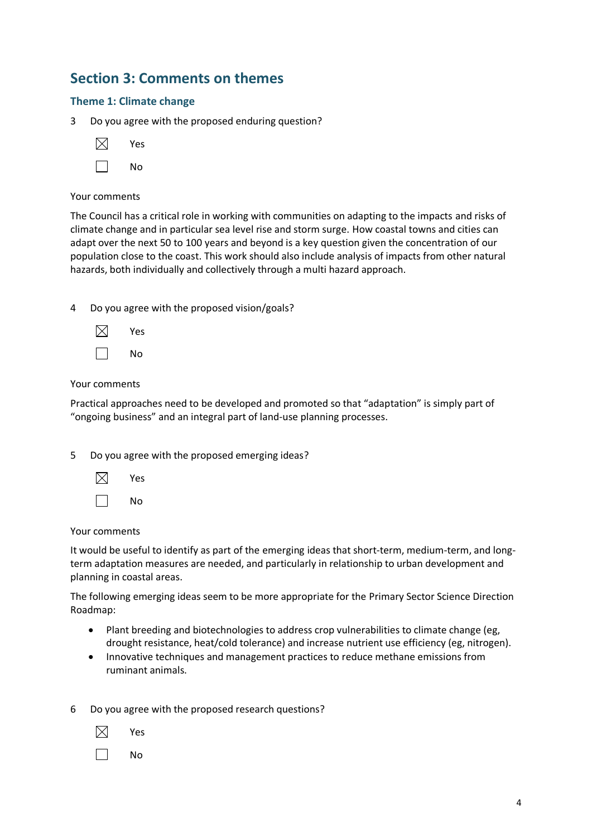## **Section 3: Comments on themes**

#### **Theme 1: Climate change**

3 Do you agree with the proposed enduring question?

|  | N٥ |
|--|----|
|--|----|

#### Your comments

The Council has a critical role in working with communities on adapting to the impacts and risks of climate change and in particular sea level rise and storm surge. How coastal towns and cities can adapt over the next 50 to 100 years and beyond is a key question given the concentration of our population close to the coast. This work should also include analysis of impacts from other natural hazards, both individually and collectively through a multi hazard approach.

4 Do you agree with the proposed vision/goals?



#### Your comments

Practical approaches need to be developed and promoted so that "adaptation" is simply part of "ongoing business" and an integral part of land-use planning processes.

5 Do you agree with the proposed emerging ideas?



Your comments

It would be useful to identify as part of the emerging ideas that short-term, medium-term, and longterm adaptation measures are needed, and particularly in relationship to urban development and planning in coastal areas.

The following emerging ideas seem to be more appropriate for the Primary Sector Science Direction Roadmap:

- Plant breeding and biotechnologies to address crop vulnerabilities to climate change (eg, drought resistance, heat/cold tolerance) and increase nutrient use efficiency (eg, nitrogen).
- Innovative techniques and management practices to reduce methane emissions from ruminant animals.

6 Do you agree with the proposed research questions?

П No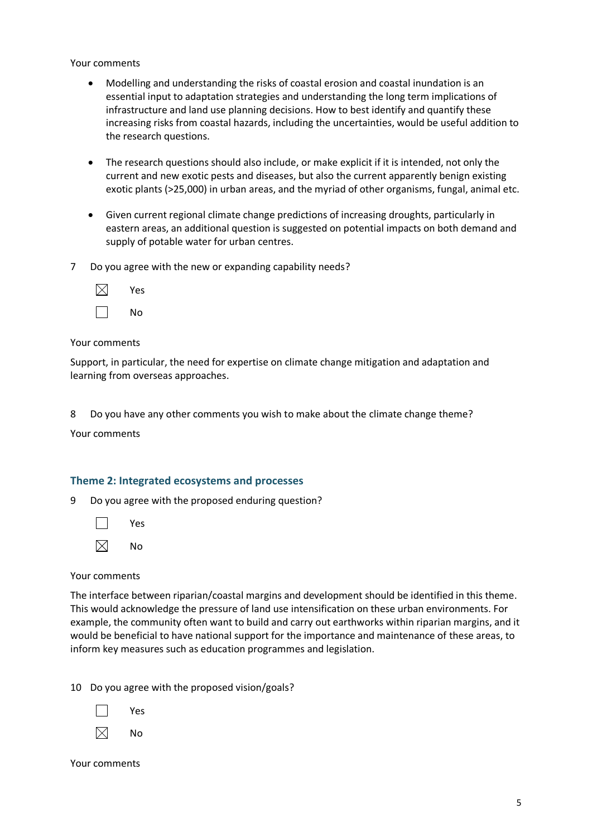Your comments

- Modelling and understanding the risks of coastal erosion and coastal inundation is an essential input to adaptation strategies and understanding the long term implications of infrastructure and land use planning decisions. How to best identify and quantify these increasing risks from coastal hazards, including the uncertainties, would be useful addition to the research questions.
- The research questions should also include, or make explicit if it is intended, not only the current and new exotic pests and diseases, but also the current apparently benign existing exotic plants (>25,000) in urban areas, and the myriad of other organisms, fungal, animal etc.
- Given current regional climate change predictions of increasing droughts, particularly in eastern areas, an additional question is suggested on potential impacts on both demand and supply of potable water for urban centres.
- 7 Do you agree with the new or expanding capability needs?

| Yes |
|-----|
| No  |

#### Your comments

Support, in particular, the need for expertise on climate change mitigation and adaptation and learning from overseas approaches.

8 Do you have any other comments you wish to make about the climate change theme?

Your comments

#### **Theme 2: Integrated ecosystems and processes**

9 Do you agree with the proposed enduring question?

 $\Box$ Yes

 $\boxtimes$ No

#### Your comments

The interface between riparian/coastal margins and development should be identified in this theme. This would acknowledge the pressure of land use intensification on these urban environments. For example, the community often want to build and carry out earthworks within riparian margins, and it would be beneficial to have national support for the importance and maintenance of these areas, to inform key measures such as education programmes and legislation.

10 Do you agree with the proposed vision/goals?

| Yes |
|-----|
| No  |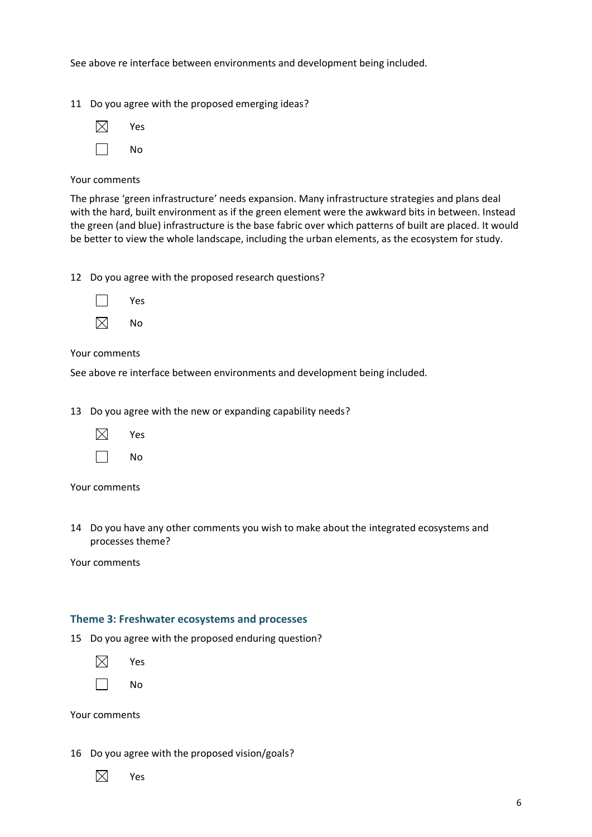See above re interface between environments and development being included.

11 Do you agree with the proposed emerging ideas?



Your comments

The phrase 'green infrastructure' needs expansion. Many infrastructure strategies and plans deal with the hard, built environment as if the green element were the awkward bits in between. Instead the green (and blue) infrastructure is the base fabric over which patterns of built are placed. It would be better to view the whole landscape, including the urban elements, as the ecosystem for study.

12 Do you agree with the proposed research questions?

| Yes |
|-----|
| No  |

Your comments

See above re interface between environments and development being included.

13 Do you agree with the new or expanding capability needs?

| $\boxtimes$ | Υρς |
|-------------|-----|
|-------------|-----|

 $\Box$ No

Your comments

14 Do you have any other comments you wish to make about the integrated ecosystems and processes theme?

Your comments

#### **Theme 3: Freshwater ecosystems and processes**

15 Do you agree with the proposed enduring question?

⊠ Yes

 $\Box$ No

Your comments

16 Do you agree with the proposed vision/goals?

 $\boxtimes$ Yes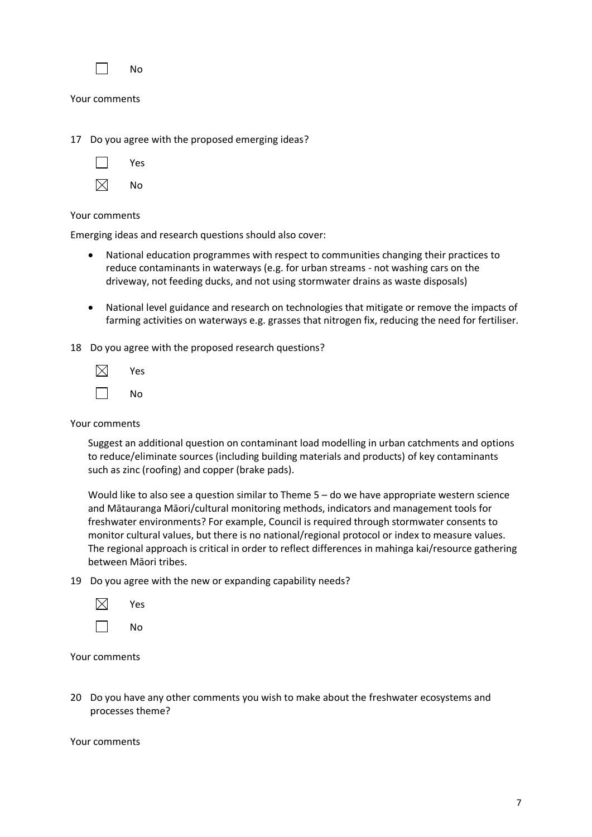|  | N٥ |
|--|----|
|--|----|

Your comments

17 Do you agree with the proposed emerging ideas?

Yes

| ↗ | N٥ |
|---|----|
|---|----|

Your comments

Emerging ideas and research questions should also cover:

- National education programmes with respect to communities changing their practices to reduce contaminants in waterways (e.g. for urban streams - not washing cars on the driveway, not feeding ducks, and not using stormwater drains as waste disposals)
- National level guidance and research on technologies that mitigate or remove the impacts of farming activities on waterways e.g. grasses that nitrogen fix, reducing the need for fertiliser.

18 Do you agree with the proposed research questions?

 $\boxtimes$ Yes No

Your comments

Suggest an additional question on contaminant load modelling in urban catchments and options to reduce/eliminate sources (including building materials and products) of key contaminants such as zinc (roofing) and copper (brake pads).

Would like to also see a question similar to Theme 5 – do we have appropriate western science and Mātauranga Māori/cultural monitoring methods, indicators and management tools for freshwater environments? For example, Council is required through stormwater consents to monitor cultural values, but there is no national/regional protocol or index to measure values. The regional approach is critical in order to reflect differences in mahinga kai/resource gathering between Māori tribes.

19 Do you agree with the new or expanding capability needs?

| Yes |
|-----|
|     |

No

Your comments

20 Do you have any other comments you wish to make about the freshwater ecosystems and processes theme?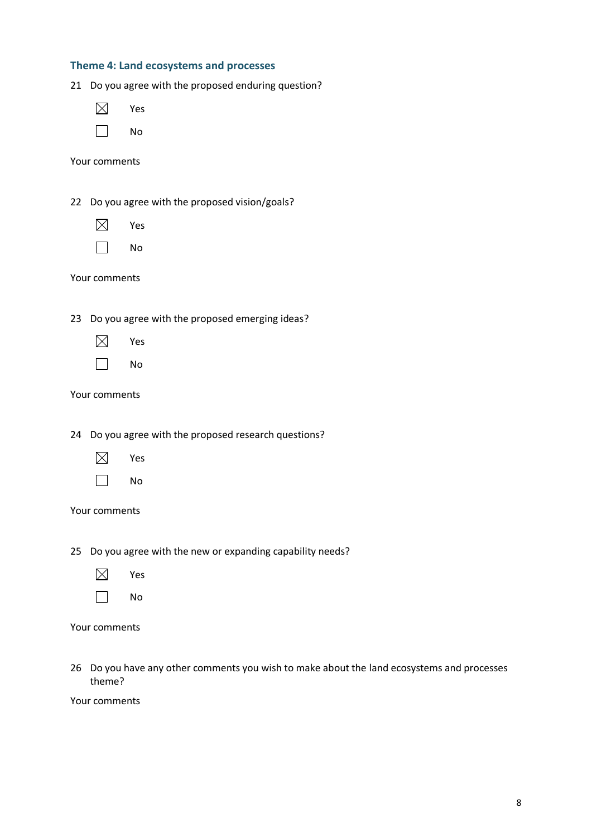#### **Theme 4: Land ecosystems and processes**

| Do you agree with the proposed enduring question?<br>21 |
|---------------------------------------------------------|
| Yes                                                     |
| No                                                      |
| Your comments                                           |
| Do you agree with the proposed vision/goals?<br>22      |
|                                                         |
| Yes                                                     |
| No                                                      |
| Your comments                                           |
|                                                         |
| Do you agree with the proposed emerging ideas?<br>23    |
| Yes                                                     |
| No                                                      |
| Your comments                                           |
|                                                         |

24 Do you agree with the proposed research questions?

- $\boxtimes$ Yes
- $\Box$ No

#### Your comments

25 Do you agree with the new or expanding capability needs?

- $\boxtimes$ Yes
- $\Box$ No

|  | Your comments |
|--|---------------|
|--|---------------|

26 Do you have any other comments you wish to make about the land ecosystems and processes theme?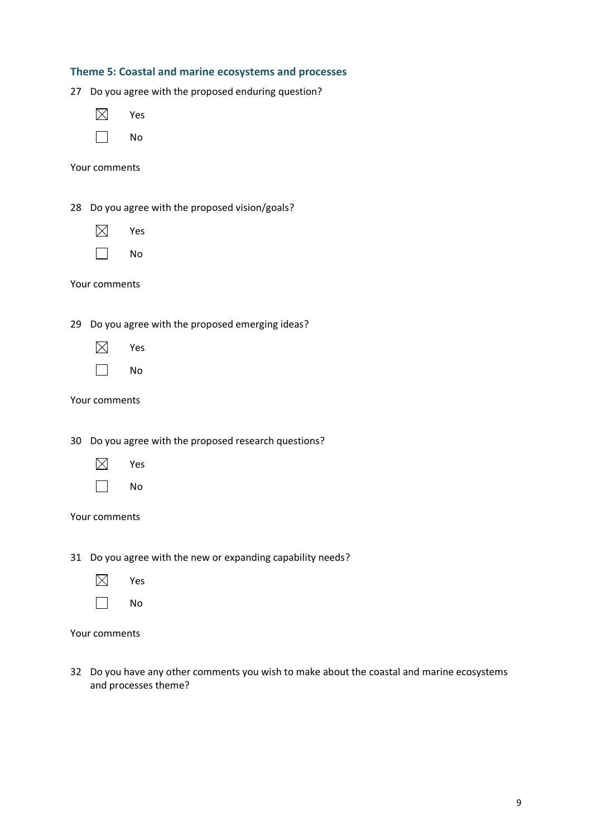|  |  | Theme 5: Coastal and marine ecosystems and processes |  |
|--|--|------------------------------------------------------|--|
|--|--|------------------------------------------------------|--|

27 Do you agree with the proposed enduring question?

 $\boxtimes$ Yes

|  | N<br>റ |
|--|--------|
|--|--------|

Your comments

28 Do you agree with the proposed vision/goals?

- $\boxtimes$ Yes
- $\Box$ No

Your comments

29 Do you agree with the proposed emerging ideas?

- $\boxtimes$ Yes
- $\Box$ No

Your comments

30 Do you agree with the proposed research questions?

- $\boxtimes$ Yes
- $\Box$ No

#### Your comments

31 Do you agree with the new or expanding capability needs?

- $\boxtimes$ Yes
- $\Box$ No

Your comments

32 Do you have any other comments you wish to make about the coastal and marine ecosystems and processes theme?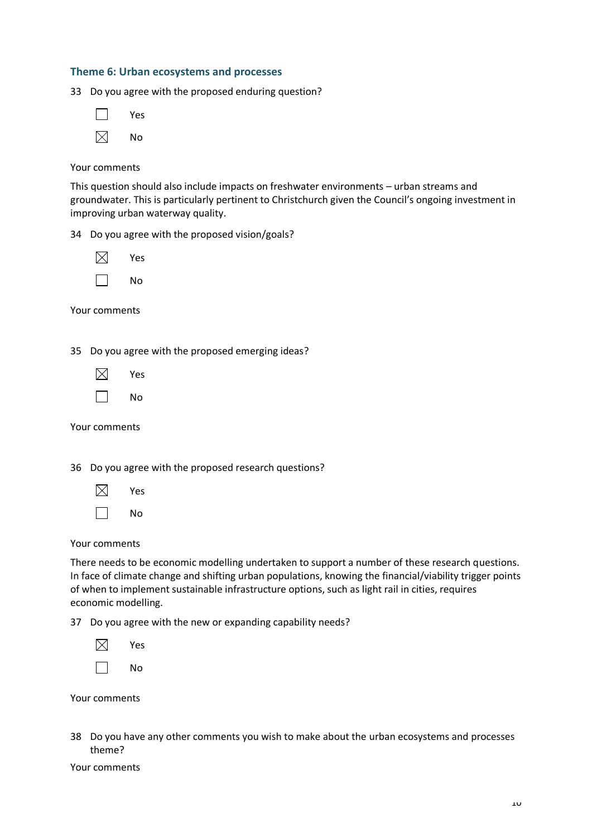#### **Theme 6: Urban ecosystems and processes**

33 Do you agree with the proposed enduring question?

| Yes |
|-----|
| No  |

#### Your comments

This question should also include impacts on freshwater environments – urban streams and groundwater. This is particularly pertinent to Christchurch given the Council's ongoing investment in improving urban waterway quality.

34 Do you agree with the proposed vision/goals?

| Yes |
|-----|
| No  |

Your comments

35 Do you agree with the proposed emerging ideas?

| ΙX | Υρς |
|----|-----|
|    |     |

| .,<br>۰.<br>______ |  |
|--------------------|--|
|--------------------|--|

Your comments

36 Do you agree with the proposed research questions?

 $\boxtimes$ Yes П No

Your comments

There needs to be economic modelling undertaken to support a number of these research questions. In face of climate change and shifting urban populations, knowing the financial/viability trigger points of when to implement sustainable infrastructure options, such as light rail in cities, requires economic modelling.

37 Do you agree with the new or expanding capability needs?

| Yes |
|-----|
| No  |

Your comments

38 Do you have any other comments you wish to make about the urban ecosystems and processes theme?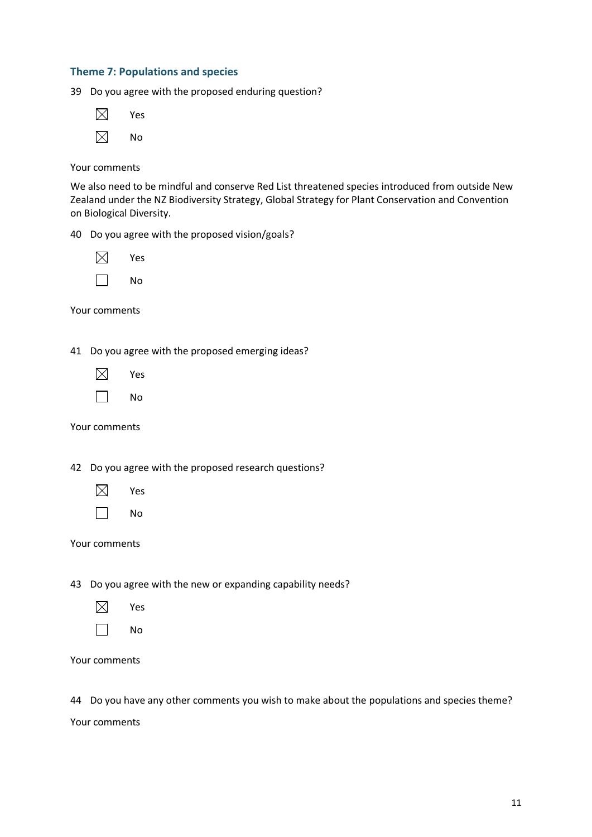#### **Theme 7: Populations and species**

39 Do you agree with the proposed enduring question?

| Yes |
|-----|
| No  |

Your comments

We also need to be mindful and conserve Red List threatened species introduced from outside New Zealand under the NZ Biodiversity Strategy, Global Strategy for Plant Conservation and Convention on Biological Diversity.

40 Do you agree with the proposed vision/goals?

| Yes |
|-----|
| No  |

Your comments

41 Do you agree with the proposed emerging ideas?

| × | Yes |
|---|-----|
|   |     |

 $\Box$ No

Your comments

42 Do you agree with the proposed research questions?

 $\boxtimes$ Yes

 $\Box$ No

Your comments

43 Do you agree with the new or expanding capability needs?

- $\boxtimes$ Yes
- $\Box$ No

Your comments

44 Do you have any other comments you wish to make about the populations and species theme?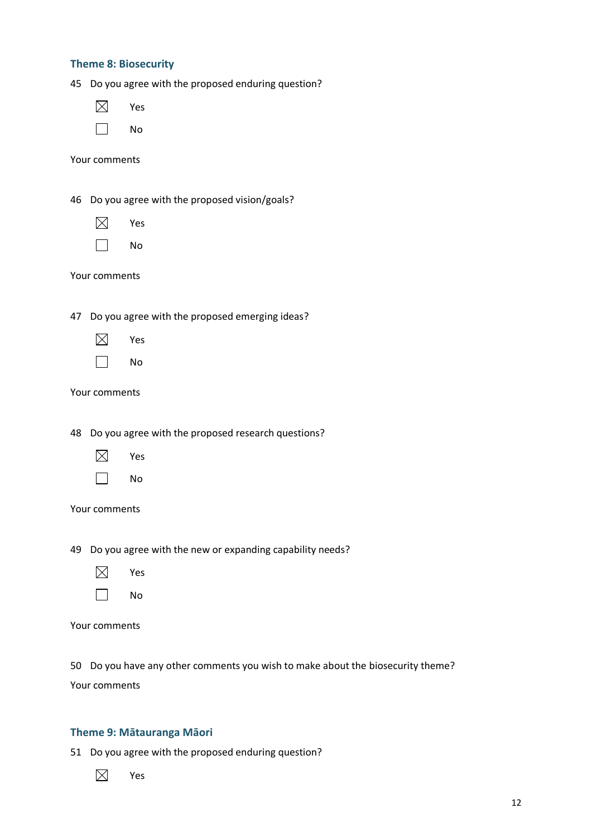|  |  | <b>Theme 8: Biosecurity</b> |
|--|--|-----------------------------|
|--|--|-----------------------------|

45 Do you agree with the proposed enduring question?

|--|--|

 $\Box$ No

Your comments

46 Do you agree with the proposed vision/goals?

- $\boxtimes$ Yes
- $\Box$ No

Your comments

47 Do you agree with the proposed emerging ideas?

- $\boxtimes$ Yes
- П No

Your comments

48 Do you agree with the proposed research questions?

- $\boxtimes$ Yes
- $\Box$ No

|  | Your comments |  |
|--|---------------|--|
|--|---------------|--|

49 Do you agree with the new or expanding capability needs?

- $\boxtimes$ Yes
- $\Box$ No

Your comments

50 Do you have any other comments you wish to make about the biosecurity theme?

Your comments

#### **Theme 9: Mātauranga Māori**

51 Do you agree with the proposed enduring question?

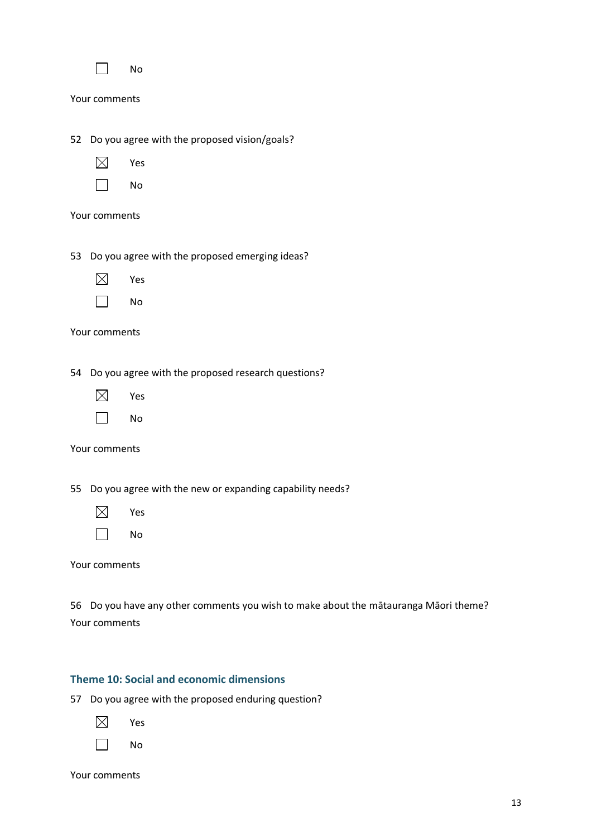|  | Nο |
|--|----|
|  |    |

Your comments

- 52 Do you agree with the proposed vision/goals?
	- $\boxtimes$ Yes
	- $\Box$ No

Your comments

53 Do you agree with the proposed emerging ideas?

- $\boxtimes$ Yes
- $\Box$ No

|  | Your comments |  |
|--|---------------|--|
|--|---------------|--|

54 Do you agree with the proposed research questions?

- $\boxtimes$ Yes
- $\Box$ No

Your comments

55 Do you agree with the new or expanding capability needs?

- $\boxtimes$ Yes  $\Box$ No
- Your comments

56 Do you have any other comments you wish to make about the mātauranga Māori theme? Your comments

#### **Theme 10: Social and economic dimensions**

57 Do you agree with the proposed enduring question?

- $\boxtimes$ Yes
- $\Box$ No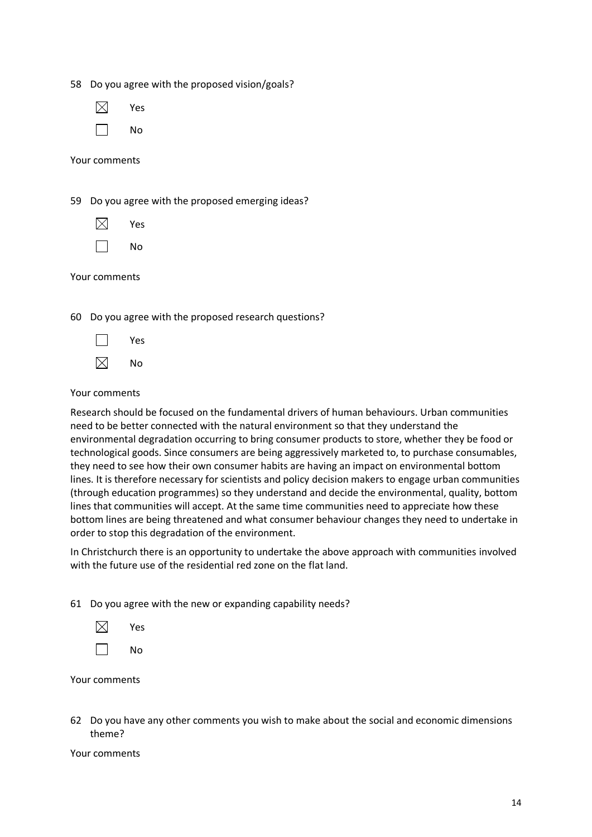|  |  | 58 Do you agree with the proposed vision/goals? |  |
|--|--|-------------------------------------------------|--|
|--|--|-------------------------------------------------|--|

| Yes |
|-----|
|     |

No

Your comments

59 Do you agree with the proposed emerging ideas?

- $\boxtimes$ Yes
- П No

|  | Your comments |  |
|--|---------------|--|
|--|---------------|--|

60 Do you agree with the proposed research questions?

| v<br>ρς |
|---------|
|         |

 $\boxtimes$ No

#### Your comments

Research should be focused on the fundamental drivers of human behaviours. Urban communities need to be better connected with the natural environment so that they understand the environmental degradation occurring to bring consumer products to store, whether they be food or technological goods. Since consumers are being aggressively marketed to, to purchase consumables, they need to see how their own consumer habits are having an impact on environmental bottom lines. It is therefore necessary for scientists and policy decision makers to engage urban communities (through education programmes) so they understand and decide the environmental, quality, bottom lines that communities will accept. At the same time communities need to appreciate how these bottom lines are being threatened and what consumer behaviour changes they need to undertake in order to stop this degradation of the environment.

In Christchurch there is an opportunity to undertake the above approach with communities involved with the future use of the residential red zone on the flat land.

61 Do you agree with the new or expanding capability needs?

| Yes |
|-----|
| No  |

Your comments

62 Do you have any other comments you wish to make about the social and economic dimensions theme?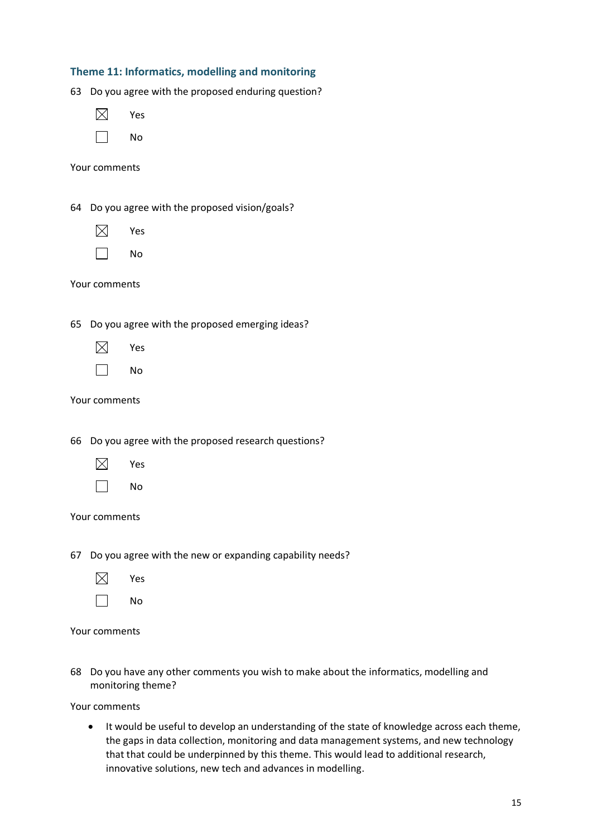| Theme 11: Informatics, modelling and monitoring |  |  |
|-------------------------------------------------|--|--|
|-------------------------------------------------|--|--|

63 Do you agree with the proposed enduring question?

 $\boxtimes$ Yes

Your comments

64 Do you agree with the proposed vision/goals?

- $\boxtimes$ Yes
- $\Box$ No

Your comments

65 Do you agree with the proposed emerging ideas?

- $\boxtimes$ Yes
- П No

Your comments

66 Do you agree with the proposed research questions?

- $\boxtimes$ Yes
- $\Box$ No

#### Your comments

67 Do you agree with the new or expanding capability needs?

- $\boxtimes$ Yes
- $\Box$ No

Your comments

68 Do you have any other comments you wish to make about the informatics, modelling and monitoring theme?

Your comments

• It would be useful to develop an understanding of the state of knowledge across each theme, the gaps in data collection, monitoring and data management systems, and new technology that that could be underpinned by this theme. This would lead to additional research, innovative solutions, new tech and advances in modelling.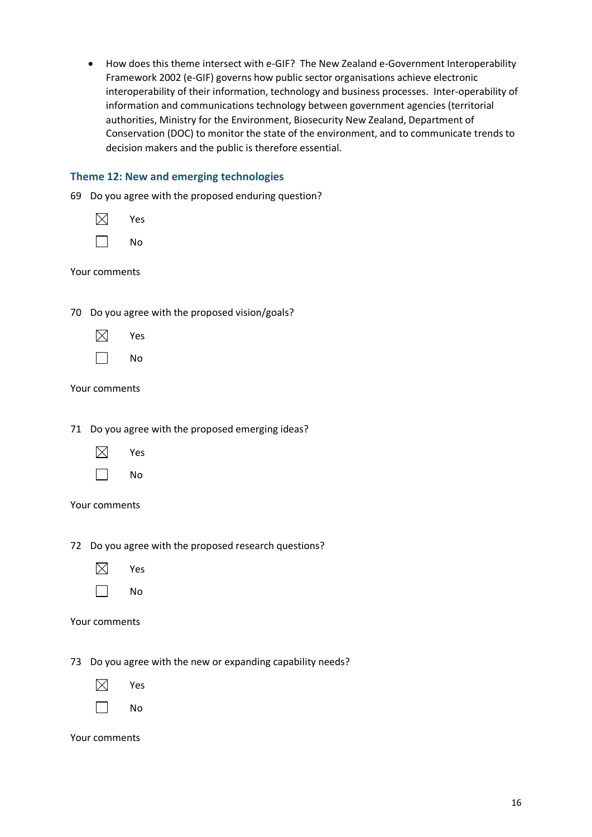| $\bullet$ | How does this theme intersect with e-GIF? The New Zealand e-Government Interoperability                                                                                                                                                                             |  |  |
|-----------|---------------------------------------------------------------------------------------------------------------------------------------------------------------------------------------------------------------------------------------------------------------------|--|--|
|           | Framework 2002 (e-GIF) governs how public sector organisations achieve electronic                                                                                                                                                                                   |  |  |
|           | interoperability of their information, technology and business processes. Inter-operability of                                                                                                                                                                      |  |  |
|           | information and communications technology between government agencies (territorial<br>authorities, Ministry for the Environment, Biosecurity New Zealand, Department of<br>Conservation (DOC) to monitor the state of the environment, and to communicate trends to |  |  |
|           |                                                                                                                                                                                                                                                                     |  |  |
|           |                                                                                                                                                                                                                                                                     |  |  |
|           | decision makers and the public is therefore essential.                                                                                                                                                                                                              |  |  |

#### **Theme 12: New and emerging technologies**

69 Do you agree with the proposed enduring question?

| Yes |
|-----|
| No  |

Your comments

70 Do you agree with the proposed vision/goals?

- $\boxtimes$ Yes
- $\Box$ No

Your comments

71 Do you agree with the proposed emerging ideas?

- $\boxtimes$ Yes
- $\Box$ No

Your comments

72 Do you agree with the proposed research questions?

- $\boxtimes$ Yes
- $\Box$ No

Your comments

73 Do you agree with the new or expanding capability needs?

 $\boxtimes$ Yes

 $\Box$ No